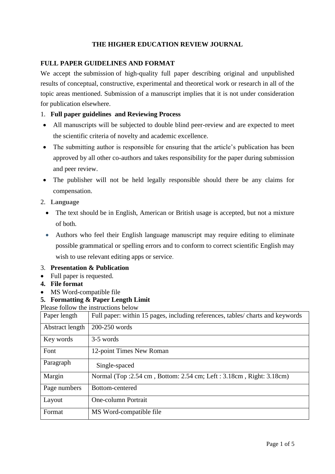# **THE HIGHER EDUCATION REVIEW JOURNAL**

# **FULL PAPER GUIDELINES AND FORMAT**

We accept the submission of high-quality full paper describing original and unpublished results of conceptual, constructive, experimental and theoretical work or research in all of the topic areas mentioned. Submission of a manuscript implies that it is not under consideration for publication elsewhere.

## 1. **Full paper guidelines and Reviewing Process**

- All manuscripts will be subjected to double blind peer-review and are expected to meet the scientific criteria of novelty and academic excellence.
- The submitting author is responsible for ensuring that the article's publication has been approved by all other co-authors and takes responsibility for the paper during submission and peer review.
- The publisher will not be held legally responsible should there be any claims for compensation.
- 2. **Language**
	- The text should be in English, American or British usage is accepted, but not a mixture of both.
	- Authors who feel their English language manuscript may require editing to eliminate possible grammatical or spelling errors and to conform to correct scientific English may wish to use relevant editing apps or service.

#### 3. **Presentation & Publication**

- Full paper is requested.
- **4. File format**
- MS Word-compatible file
- **5. Formatting & Paper Length Limit**

Please follow the instructions below

| Paper length    | Full paper: within 15 pages, including references, tables/ charts and keywords |
|-----------------|--------------------------------------------------------------------------------|
| Abstract length | 200-250 words                                                                  |
| Key words       | 3-5 words                                                                      |
| Font            | 12-point Times New Roman                                                       |
| Paragraph       | Single-spaced                                                                  |
| Margin          | Normal (Top : 2.54 cm, Bottom: 2.54 cm; Left : 3.18 cm, Right: 3.18 cm)        |
| Page numbers    | Bottom-centered                                                                |
| Layout          | <b>One-column Portrait</b>                                                     |
| Format          | MS Word-compatible file                                                        |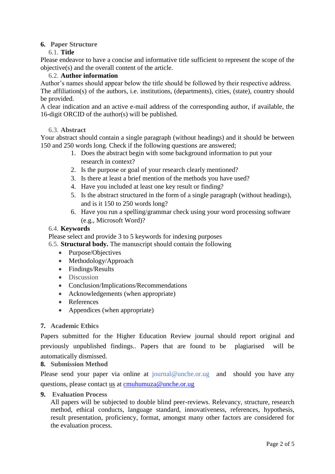## **6. Paper Structure**

#### 6.1. **Title**

Please endeavor to have a concise and informative title sufficient to represent the scope of the objective(s) and the overall content of the article.

#### 6.2. **Author information**

Author's names should appear below the title should be followed by their respective address. The affiliation(s) of the authors, i.e. institutions, (departments), cities, (state), country should be provided.

A clear indication and an active e-mail address of the corresponding author, if available, the 16-digit ORCID of the author(s) will be published.

#### 6.3. **Abstract**

Your abstract should contain a single paragraph (without headings) and it should be between 150 and 250 words long. Check if the following questions are answered;

- 1. Does the abstract begin with some background information to put your research in context?
- 2. Is the purpose or goal of your research clearly mentioned?
- 3. Is there at least a brief mention of the methods you have used?
- 4. Have you included at least one key result or finding?
- 5. Is the abstract structured in the form of a single paragraph (without headings), and is it 150 to 250 words long?
- 6. Have you run a spelling/grammar check using your word processing software (e.g., Microsoft Word)?

#### 6.4. **Keywords**

Please select and provide 3 to 5 keywords for indexing purposes

- 6.5. **Structural body.** The manuscript should contain the following
	- Purpose/Objectives
	- Methodology/Approach
	- Findings/Results
	- Discussion
	- Conclusion/Implications/Recommendations
	- Acknowledgements (when appropriate)
	- References
	- Appendices (when appropriate)

#### **7. Academic Ethics**

Papers submitted for the Higher Education Review journal should report original and previously unpublished findings.. Papers that are found to be plagiarised will be automatically dismissed.

## **8. Submission Method**

Please send your paper via online at journal@unche.or.ug and should you have any questions, please contact [us](https://www.acavent.com/) at [cmuhumuza@unche.or.ug](mailto:cmuhumuza@unche.or.ug)

**9. Evaluation Process**

All papers will be subjected to double blind peer-reviews. Relevancy, structure, research method, ethical conducts, language standard, innovativeness, references, hypothesis, result presentation, proficiency, format, amongst many other factors are considered for the evaluation process.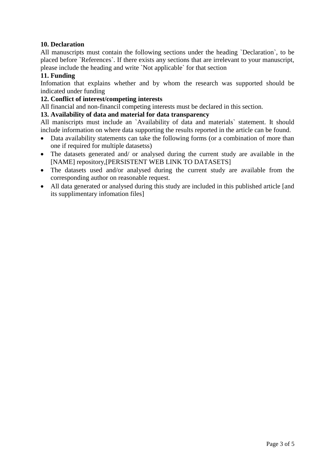## **10. Declaration**

All manuscripts must contain the following sections under the heading `Declaration`, to be placed before `References`. If there exists any sections that are irrelevant to your manuscript, please include the heading and write `Not applicable` for that section

### **11. Funding**

Infomation that explains whether and by whom the research was supported should be indicated under funding

### **12. Conflict of interest/competing interests**

All financial and non-financil competing interests must be declared in this section.

## **13. Availability of data and material for data transparency**

All maniscripts must include an `Availability of data and materials` statement. It should include information on where data supporting the results reported in the article can be found.

- Data availability statements can take the following forms (or a combination of more than one if required for multiple datasetss)
- The datasets generated and/ or analysed during the current study are available in the [NAME] repository,[PERSISTENT WEB LINK TO DATASETS]
- The datasets used and/or analysed during the current study are available from the corresponding author on reasonable request.
- All data generated or analysed during this study are included in this published article [and its supplimentary infomation files]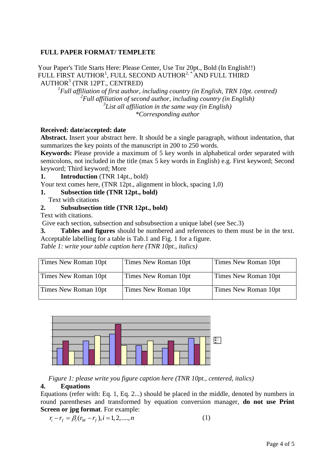#### **FULL PAPER FORMAT/ TEMPLETE**

Your Paper's Title Starts Here: Please Center, Use Tnr 20pt., Bold (In English!!) FULL FIRST AUTHOR $^1$ , FULL SECOND AUTHOR $^{2, \, *}$  AND FULL THIRD AUTHOR<sup>3</sup> (TNR 12PT., CENTRED)

 *Full affiliation of first author, including country (in English, TRN 10pt. centred) Full affiliation of second author, including country (in English) List all affiliation in the same way (in English) \*Corresponding author*

#### **Received: date/accepted: date**

**Abstract.** Insert your abstract here. It should be a single paragraph, without indentation, that summarizes the key points of the manuscript in 200 to 250 words.

**Keywords:** Please provide a maximum of 5 key words in alphabetical order separated with semicolons, not included in the title (max 5 key words in English) e.g. First keyword; Second keyword; Third keyword; More

**1. Introduction** (TNR 14pt., bold)

Your text comes here, (TNR 12pt., alignment in block, spacing 1,0)

#### **1. Subsection title (TNR 12pt., bold)**

Text with citations

#### **2. Subsubsection title (TNR 12pt., bold)**

Text with citations.

Give each section, subsection and subsubsection a unique label (see Sec.3)

**3. Tables and figures** should be numbered and references to them must be in the text. Acceptable labelling for a table is Tab.1 and Fig. 1 for a figure.

*Table 1: write your table caption here (TNR 10pt., italics)*

| Times New Roman 10pt | Times New Roman 10pt | Times New Roman 10pt |
|----------------------|----------------------|----------------------|
| Times New Roman 10pt | Times New Roman 10pt | Times New Roman 10pt |
| Times New Roman 10pt | Times New Roman 10pt | Times New Roman 10pt |



*Figure 1: please write you figure caption here (TNR 10pt., centered, italics)*

#### **4. Equations**

Equations (refer with: Eq. 1, Eq. 2...) should be placed in the middle, denoted by numbers in round parentheses and transformed by equation conversion manager, **do not use Print Screen or jpg format**. For example:

$$
r_i - r_f = \beta_i (r_M - r_f), i = 1, 2, \dots, n
$$
 (1)